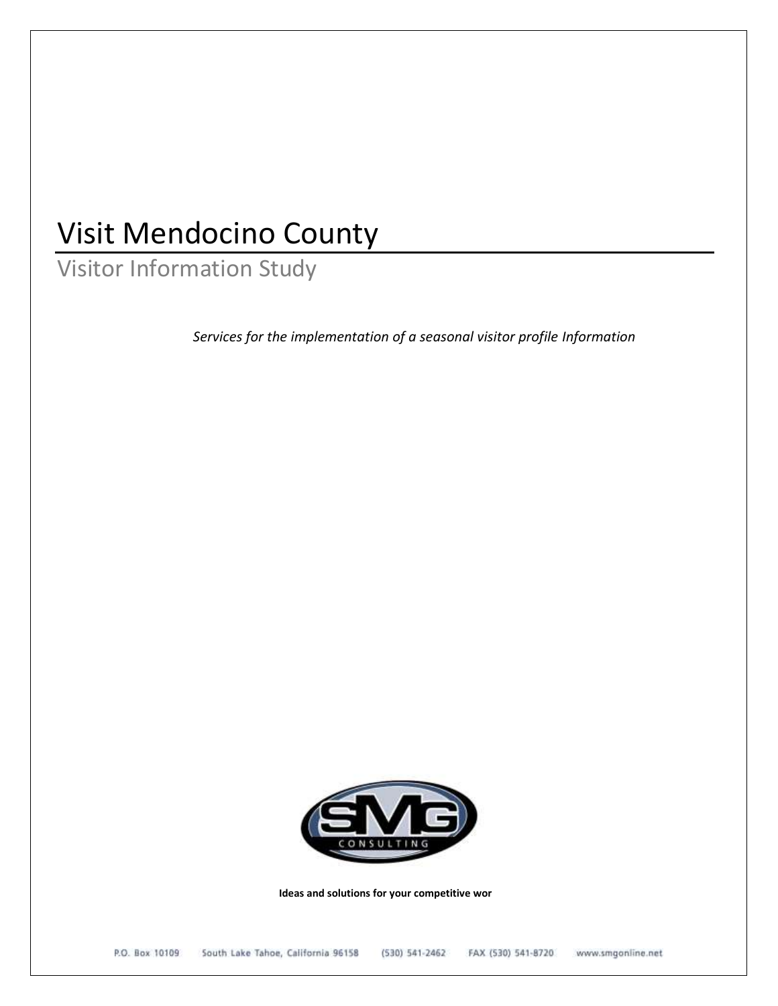# Visit Mendocino County

Visitor Information Study

*Services for the implementation of a seasonal visitor profile Information*



 **Ideas and solutions for your competitive wor**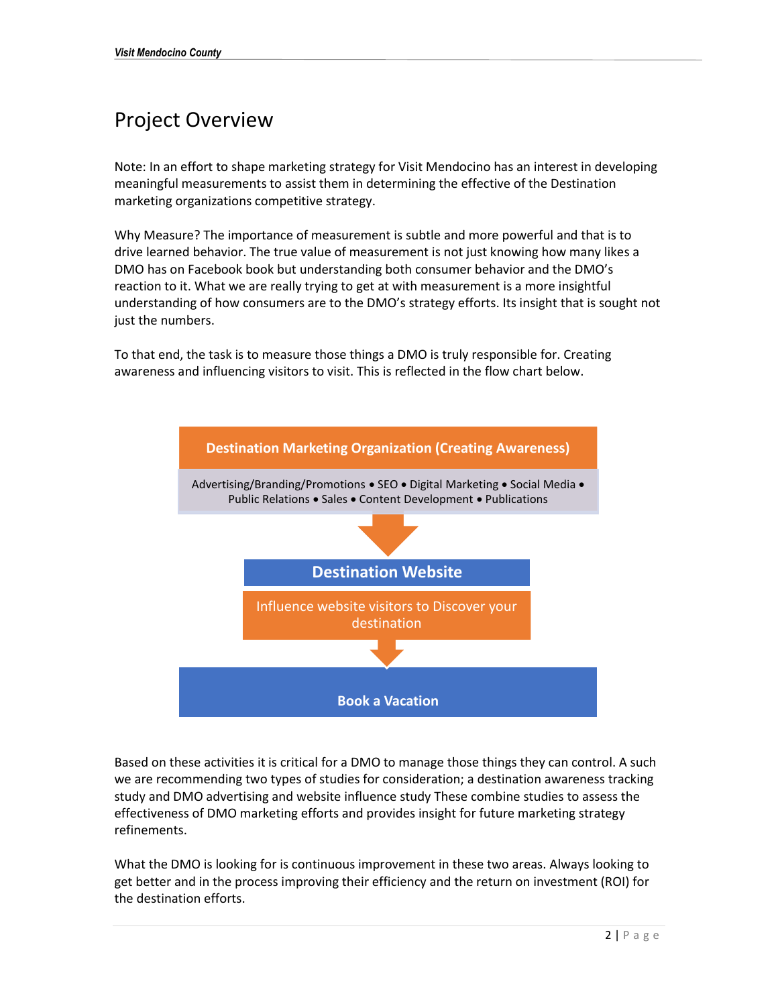## Project Overview

Note: In an effort to shape marketing strategy for Visit Mendocino has an interest in developing meaningful measurements to assist them in determining the effective of the Destination marketing organizations competitive strategy.

Why Measure? The importance of measurement is subtle and more powerful and that is to drive learned behavior. The true value of measurement is not just knowing how many likes a DMO has on Facebook book but understanding both consumer behavior and the DMO's reaction to it. What we are really trying to get at with measurement is a more insightful understanding of how consumers are to the DMO's strategy efforts. Its insight that is sought not just the numbers.

To that end, the task is to measure those things a DMO is truly responsible for. Creating awareness and influencing visitors to visit. This is reflected in the flow chart below.



Based on these activities it is critical for a DMO to manage those things they can control. A such we are recommending two types of studies for consideration; a destination awareness tracking study and DMO advertising and website influence study These combine studies to assess the effectiveness of DMO marketing efforts and provides insight for future marketing strategy refinements.

What the DMO is looking for is continuous improvement in these two areas. Always looking to get better and in the process improving their efficiency and the return on investment (ROI) for the destination efforts.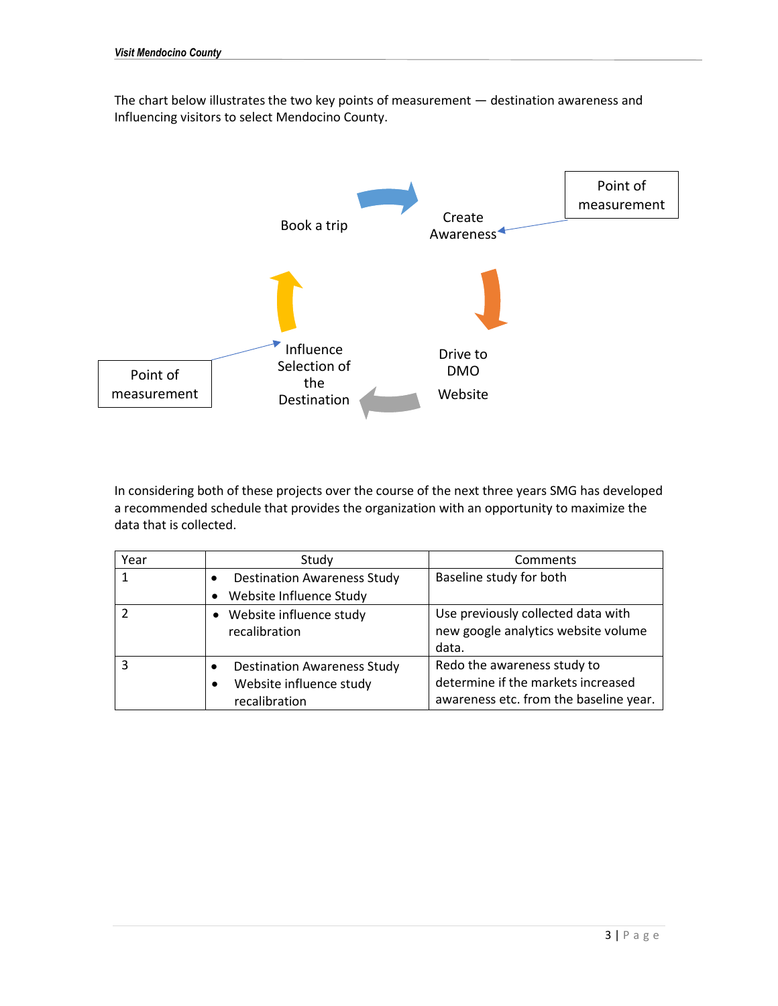The chart below illustrates the two key points of measurement — destination awareness and Influencing visitors to select Mendocino County.



In considering both of these projects over the course of the next three years SMG has developed a recommended schedule that provides the organization with an opportunity to maximize the data that is collected.

| Year | Study                                           | Comments                               |
|------|-------------------------------------------------|----------------------------------------|
|      | <b>Destination Awareness Study</b><br>$\bullet$ | Baseline study for both                |
|      | Website Influence Study<br>$\bullet$            |                                        |
|      | Website influence study                         | Use previously collected data with     |
|      | recalibration                                   | new google analytics website volume    |
|      |                                                 | data.                                  |
|      | <b>Destination Awareness Study</b><br>٠         | Redo the awareness study to            |
|      | Website influence study<br>٠                    | determine if the markets increased     |
|      | recalibration                                   | awareness etc. from the baseline year. |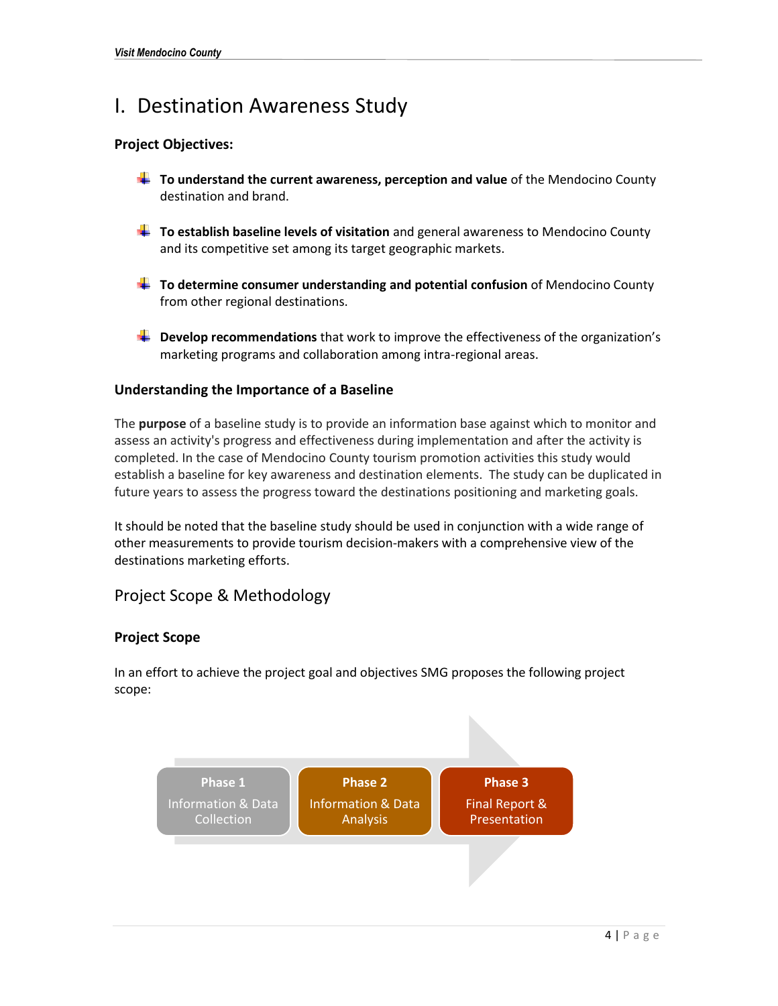### I. Destination Awareness Study

### **Project Objectives:**

- **To understand the current awareness, perception and value** of the Mendocino County destination and brand.
- **To establish baseline levels of visitation** and general awareness to Mendocino County and its competitive set among its target geographic markets.
- **To determine consumer understanding and potential confusion** of Mendocino County from other regional destinations.
- **Let us Develop recommendations** that work to improve the effectiveness of the organization's marketing programs and collaboration among intra-regional areas.

### **Understanding the Importance of a Baseline**

The **purpose** of a baseline study is to provide an information base against which to monitor and assess an activity's progress and effectiveness during implementation and after the activity is completed. In the case of Mendocino County tourism promotion activities this study would establish a baseline for key awareness and destination elements. The study can be duplicated in future years to assess the progress toward the destinations positioning and marketing goals.

It should be noted that the baseline study should be used in conjunction with a wide range of other measurements to provide tourism decision-makers with a comprehensive view of the destinations marketing efforts.

### Project Scope & Methodology

### **Project Scope**

In an effort to achieve the project goal and objectives SMG proposes the following project scope:

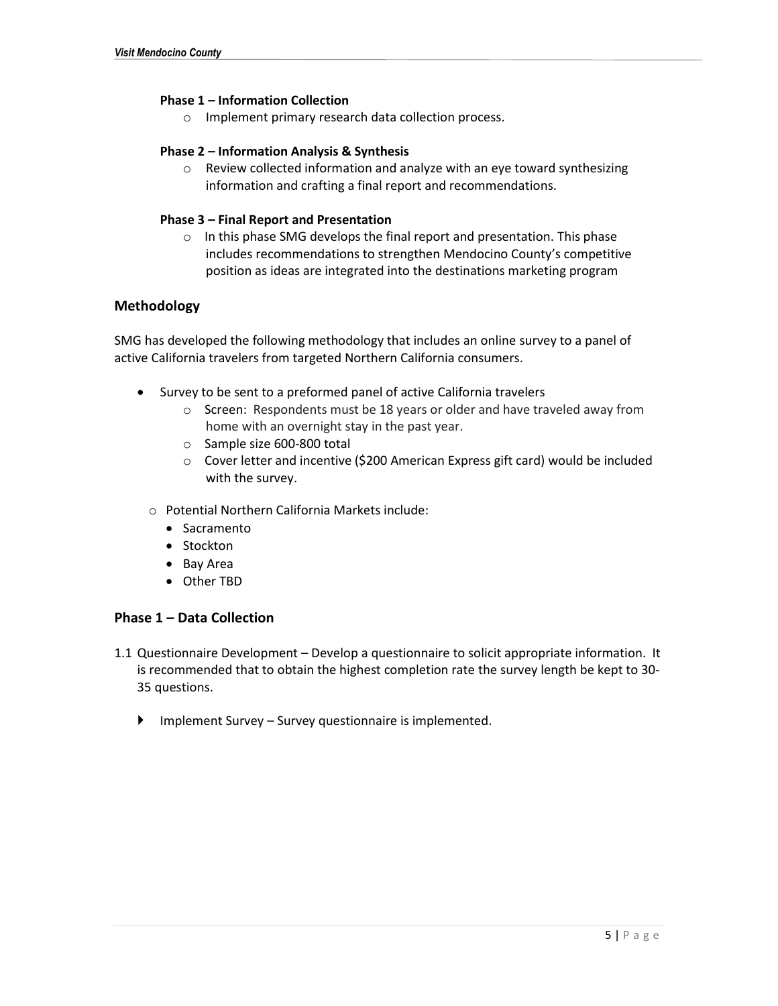### **Phase 1 – Information Collection**

o Implement primary research data collection process.

### **Phase 2 – Information Analysis & Synthesis**

o Review collected information and analyze with an eye toward synthesizing information and crafting a final report and recommendations.

### **Phase 3 – Final Report and Presentation**

o In this phase SMG develops the final report and presentation. This phase includes recommendations to strengthen Mendocino County's competitive position as ideas are integrated into the destinations marketing program

### **Methodology**

SMG has developed the following methodology that includes an online survey to a panel of active California travelers from targeted Northern California consumers.

- Survey to be sent to a preformed panel of active California travelers
	- o Screen: Respondents must be 18 years or older and have traveled away from home with an overnight stay in the past year.
	- o Sample size 600-800 total
	- o Cover letter and incentive (\$200 American Express gift card) would be included with the survey.
	- o Potential Northern California Markets include:
		- Sacramento
		- Stockton
		- Bay Area
		- Other TBD

### **Phase 1 – Data Collection**

- 1.1 Questionnaire Development Develop a questionnaire to solicit appropriate information. It is recommended that to obtain the highest completion rate the survey length be kept to 30- 35 questions.
	- $\blacktriangleright$  Implement Survey Survey questionnaire is implemented.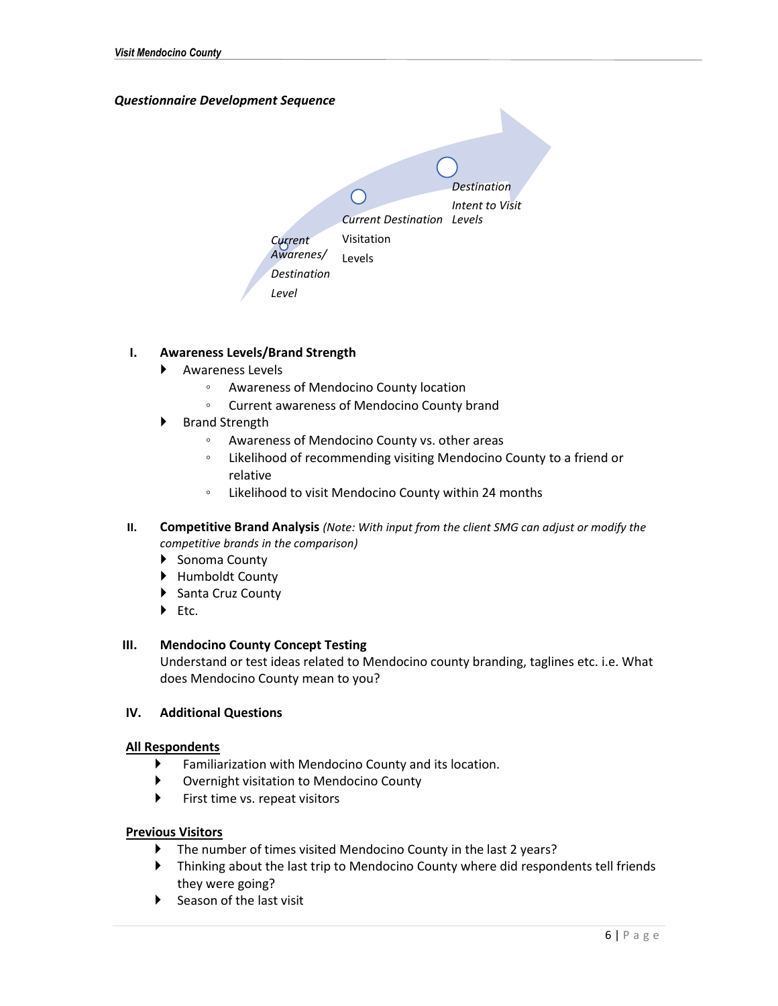### *Questionnaire Development Sequence*



### **I. Awareness Levels/Brand Strength**

- Awareness Levels
	- Awareness of Mendocino County location
	- Current awareness of Mendocino County brand
- ▶ Brand Strength
	- Awareness of Mendocino County vs. other areas
	- Likelihood of recommending visiting Mendocino County to a friend or relative
	- Likelihood to visit Mendocino County within 24 months
- **II. Competitive Brand Analysis** *(Note: With input from the client SMG can adjust or modify the competitive brands in the comparison)*
	- Sonoma County
	- ▶ Humboldt County
	- ▶ Santa Cruz County
	- $Fctc.$

### **III. Mendocino County Concept Testing**

Understand or test ideas related to Mendocino county branding, taglines etc. i.e. What does Mendocino County mean to you?

### **IV. Additional Questions**

### **All Respondents**

- Familiarization with Mendocino County and its location.
- Overnight visitation to Mendocino County
- First time vs. repeat visitors

### **Previous Visitors**

- The number of times visited Mendocino County in the last 2 years?
- Thinking about the last trip to Mendocino County where did respondents tell friends they were going?
- $\triangleright$  Season of the last visit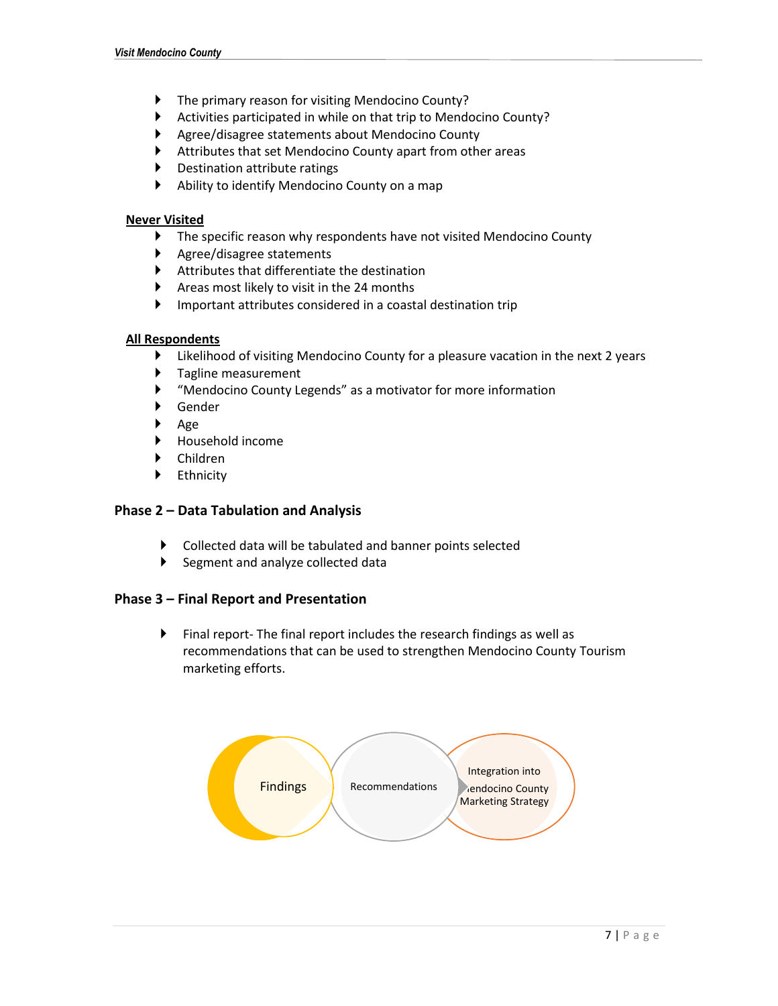- The primary reason for visiting Mendocino County?
- Activities participated in while on that trip to Mendocino County?
- Agree/disagree statements about Mendocino County
- Attributes that set Mendocino County apart from other areas
- Destination attribute ratings
- Ability to identify Mendocino County on a map

### **Never Visited**

- The specific reason why respondents have not visited Mendocino County
- Agree/disagree statements
- Attributes that differentiate the destination
- Areas most likely to visit in the 24 months
- Important attributes considered in a coastal destination trip

### **All Respondents**

- Likelihood of visiting Mendocino County for a pleasure vacation in the next 2 years
- **F** Tagline measurement
- "Mendocino County Legends" as a motivator for more information
- Gender
- $\blacktriangleright$  Age
- Household income
- Children
- ▶ Ethnicity

### **Phase 2 – Data Tabulation and Analysis**

- Collected data will be tabulated and banner points selected
- $\blacktriangleright$  Segment and analyze collected data

### **Phase 3 – Final Report and Presentation**

 Final report- The final report includes the research findings as well as recommendations that can be used to strengthen Mendocino County Tourism marketing efforts.

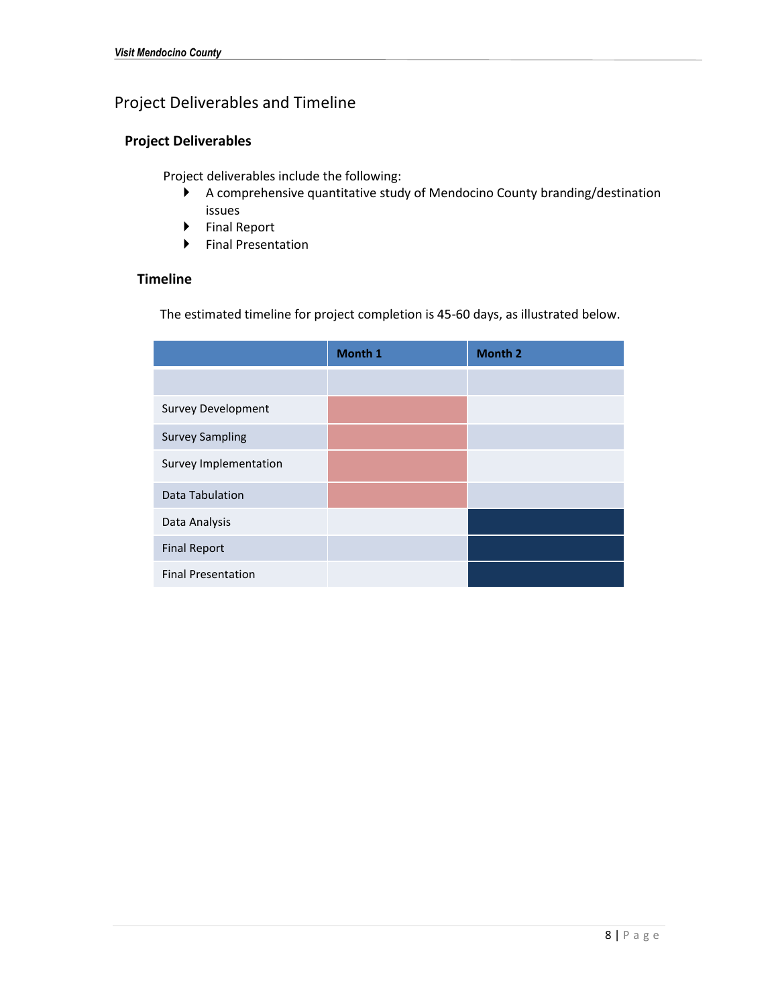### Project Deliverables and Timeline

### **Project Deliverables**

Project deliverables include the following:

- A comprehensive quantitative study of Mendocino County branding/destination issues
- ▶ Final Report
- Final Presentation

### **Timeline**

The estimated timeline for project completion is 45-60 days, as illustrated below.

|                           | Month 1 | <b>Month 2</b> |
|---------------------------|---------|----------------|
|                           |         |                |
| <b>Survey Development</b> |         |                |
| <b>Survey Sampling</b>    |         |                |
| Survey Implementation     |         |                |
| <b>Data Tabulation</b>    |         |                |
| Data Analysis             |         |                |
| <b>Final Report</b>       |         |                |
| <b>Final Presentation</b> |         |                |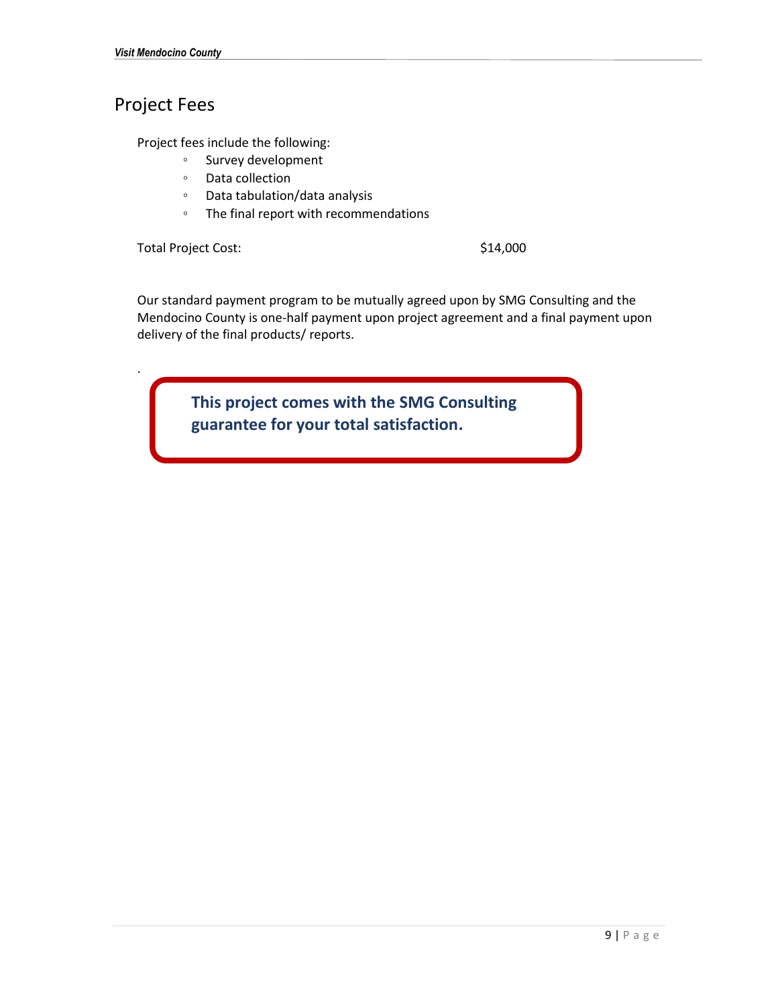### Project Fees

Project fees include the following:

- Survey development
- Data collection
- Data tabulation/data analysis
- The final report with recommendations

Total Project Cost: \$14,000

.

Our standard payment program to be mutually agreed upon by SMG Consulting and the Mendocino County is one-half payment upon project agreement and a final payment upon delivery of the final products/ reports.

> **This project comes with the SMG Consulting guarantee for your total satisfaction.**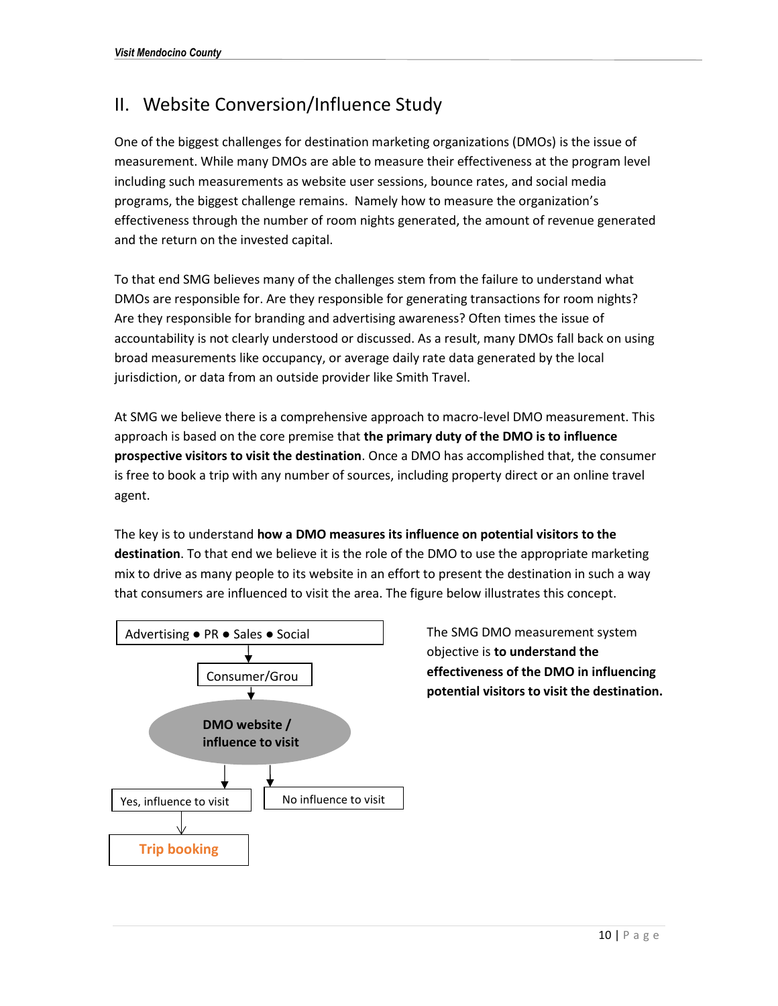### II. Website Conversion/Influence Study

One of the biggest challenges for destination marketing organizations (DMOs) is the issue of measurement. While many DMOs are able to measure their effectiveness at the program level including such measurements as website user sessions, bounce rates, and social media programs, the biggest challenge remains. Namely how to measure the organization's effectiveness through the number of room nights generated, the amount of revenue generated and the return on the invested capital.

To that end SMG believes many of the challenges stem from the failure to understand what DMOs are responsible for. Are they responsible for generating transactions for room nights? Are they responsible for branding and advertising awareness? Often times the issue of accountability is not clearly understood or discussed. As a result, many DMOs fall back on using broad measurements like occupancy, or average daily rate data generated by the local jurisdiction, or data from an outside provider like Smith Travel.

At SMG we believe there is a comprehensive approach to macro-level DMO measurement. This approach is based on the core premise that **the primary duty of the DMO is to influence prospective visitors to visit the destination**. Once a DMO has accomplished that, the consumer is free to book a trip with any number of sources, including property direct or an online travel agent.

The key is to understand **how a DMO measures its influence on potential visitors to the destination**. To that end we believe it is the role of the DMO to use the appropriate marketing mix to drive as many people to its website in an effort to present the destination in such a way that consumers are influenced to visit the area. The figure below illustrates this concept.



The SMG DMO measurement system objective is **to understand the effectiveness of the DMO in influencing potential visitors to visit the destination.**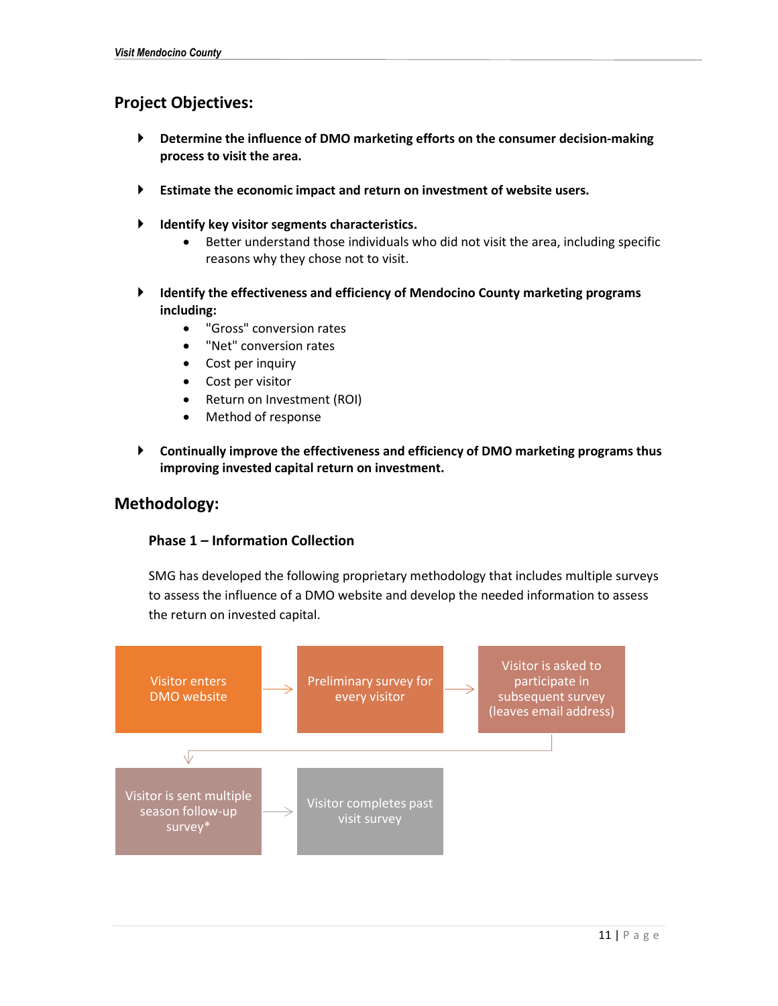### **Project Objectives:**

- **Determine the influence of DMO marketing efforts on the consumer decision-making process to visit the area.**
- **Estimate the economic impact and return on investment of website users.**
- **Identify key visitor segments characteristics.** 
	- Better understand those individuals who did not visit the area, including specific reasons why they chose not to visit.
- **Identify the effectiveness and efficiency of Mendocino County marketing programs including:** 
	- "Gross" conversion rates
	- "Net" conversion rates
	- Cost per inquiry
	- Cost per visitor
	- Return on Investment (ROI)
	- Method of response
- **Continually improve the effectiveness and efficiency of DMO marketing programs thus improving invested capital return on investment.**

### **Methodology:**

### **Phase 1 – Information Collection**

SMG has developed the following proprietary methodology that includes multiple surveys to assess the influence of a DMO website and develop the needed information to assess the return on invested capital.

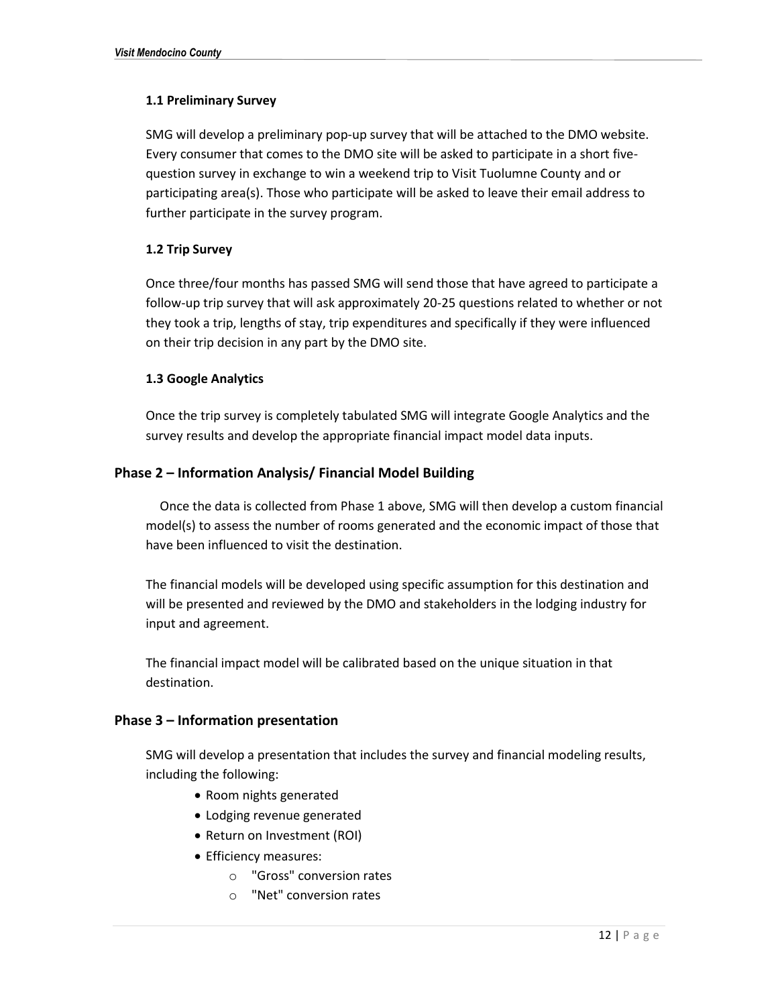### **1.1 Preliminary Survey**

SMG will develop a preliminary pop-up survey that will be attached to the DMO website. Every consumer that comes to the DMO site will be asked to participate in a short fivequestion survey in exchange to win a weekend trip to Visit Tuolumne County and or participating area(s). Those who participate will be asked to leave their email address to further participate in the survey program.

### **1.2 Trip Survey**

Once three/four months has passed SMG will send those that have agreed to participate a follow-up trip survey that will ask approximately 20-25 questions related to whether or not they took a trip, lengths of stay, trip expenditures and specifically if they were influenced on their trip decision in any part by the DMO site.

### **1.3 Google Analytics**

Once the trip survey is completely tabulated SMG will integrate Google Analytics and the survey results and develop the appropriate financial impact model data inputs.

### **Phase 2 – Information Analysis/ Financial Model Building**

Once the data is collected from Phase 1 above, SMG will then develop a custom financial model(s) to assess the number of rooms generated and the economic impact of those that have been influenced to visit the destination.

The financial models will be developed using specific assumption for this destination and will be presented and reviewed by the DMO and stakeholders in the lodging industry for input and agreement.

The financial impact model will be calibrated based on the unique situation in that destination.

### **Phase 3 – Information presentation**

SMG will develop a presentation that includes the survey and financial modeling results, including the following:

- Room nights generated
- Lodging revenue generated
- Return on Investment (ROI)
- Efficiency measures:
	- o "Gross" conversion rates
	- o "Net" conversion rates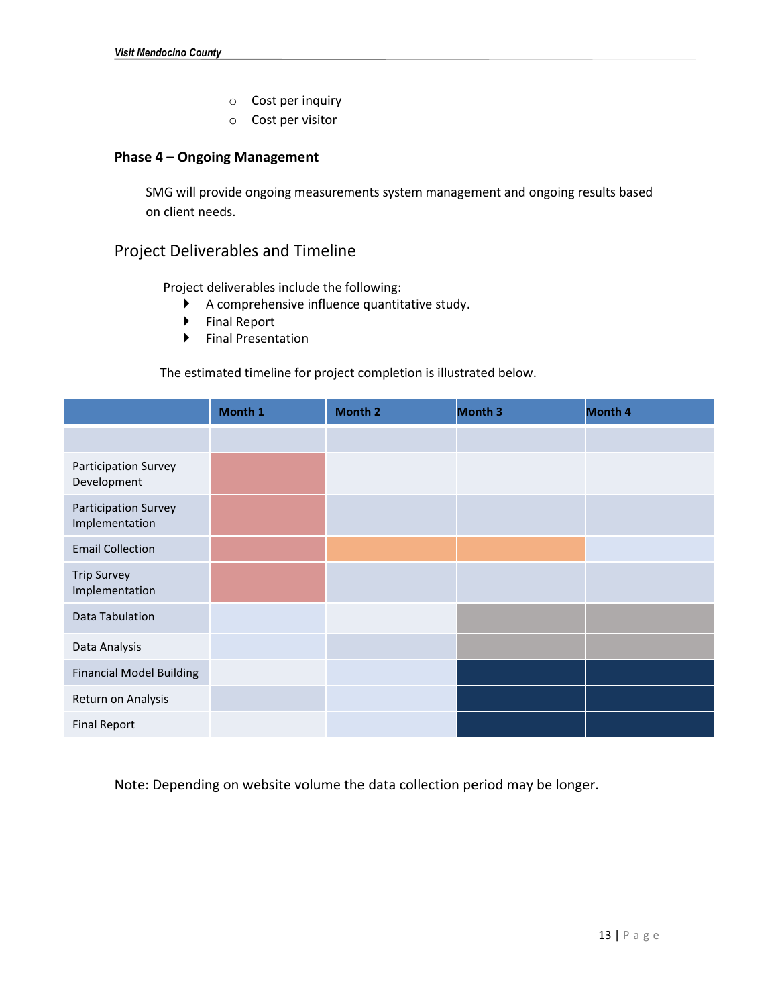- o Cost per inquiry
- o Cost per visitor

### **Phase 4 – Ongoing Management**

SMG will provide ongoing measurements system management and ongoing results based on client needs.

### Project Deliverables and Timeline

Project deliverables include the following:

- A comprehensive influence quantitative study.
- ▶ Final Report
- Final Presentation

### The estimated timeline for project completion is illustrated below.

|                                        | Month 1 | Month 2 | <b>Month 3</b> | Month 4 |
|----------------------------------------|---------|---------|----------------|---------|
|                                        |         |         |                |         |
| Participation Survey<br>Development    |         |         |                |         |
| Participation Survey<br>Implementation |         |         |                |         |
| <b>Email Collection</b>                |         |         |                |         |
| <b>Trip Survey</b><br>Implementation   |         |         |                |         |
| Data Tabulation                        |         |         |                |         |
| Data Analysis                          |         |         |                |         |
| <b>Financial Model Building</b>        |         |         |                |         |
| Return on Analysis                     |         |         |                |         |
| <b>Final Report</b>                    |         |         |                |         |

Note: Depending on website volume the data collection period may be longer.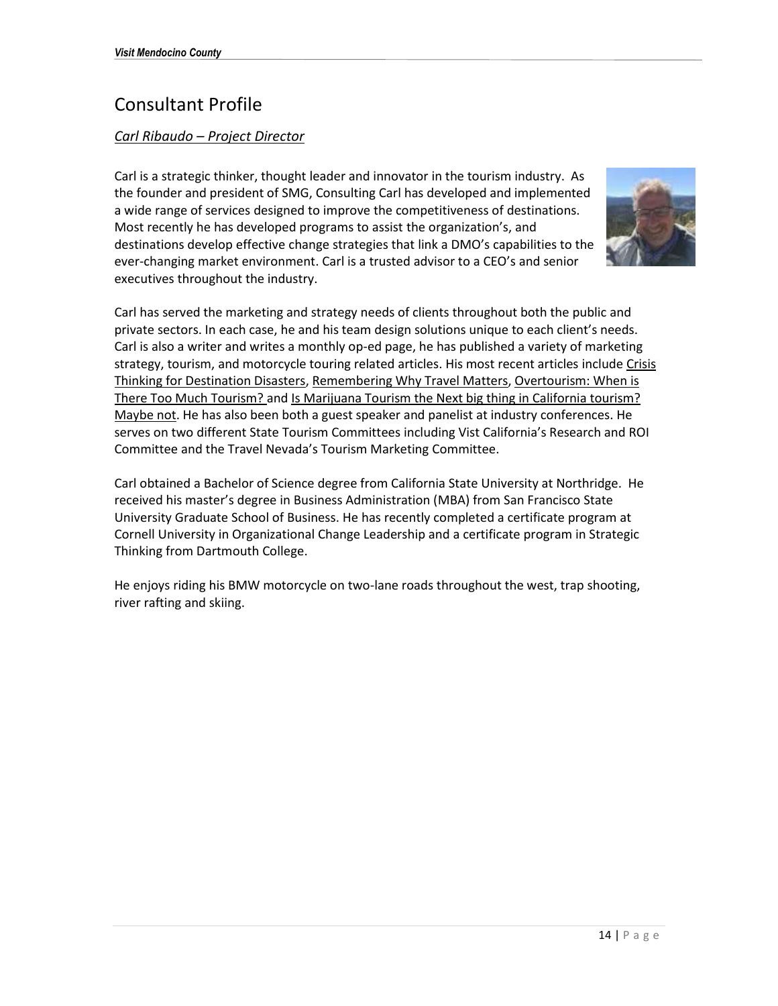### Consultant Profile

### *Carl Ribaudo – Project Director*

Carl is a strategic thinker, thought leader and innovator in the tourism industry. As the founder and president of SMG, Consulting Carl has developed and implemented a wide range of services designed to improve the competitiveness of destinations. Most recently he has developed programs to assist the organization's, and destinations develop effective change strategies that link a DMO's capabilities to the ever-changing market environment. Carl is a trusted advisor to a CEO's and senior executives throughout the industry.



Carl has served the marketing and strategy needs of clients throughout both the public and private sectors. In each case, he and his team design solutions unique to each client's needs. Carl is also a writer and writes a monthly op-ed page, he has published a variety of marketing strategy, tourism, and motorcycle touring related articles. His most recent articles include Crisis Thinking for Destination Disasters, Remembering Why Travel Matters, Overtourism: When is There Too Much Tourism? and Is Marijuana Tourism the Next big thing in California tourism? Maybe not. He has also been both a guest speaker and panelist at industry conferences. He serves on two different State Tourism Committees including Vist California's Research and ROI Committee and the Travel Nevada's Tourism Marketing Committee.

Carl obtained a Bachelor of Science degree from California State University at Northridge. He received his master's degree in Business Administration (MBA) from San Francisco State University Graduate School of Business. He has recently completed a certificate program at Cornell University in Organizational Change Leadership and a certificate program in Strategic Thinking from Dartmouth College.

He enjoys riding his BMW motorcycle on two-lane roads throughout the west, trap shooting, river rafting and skiing.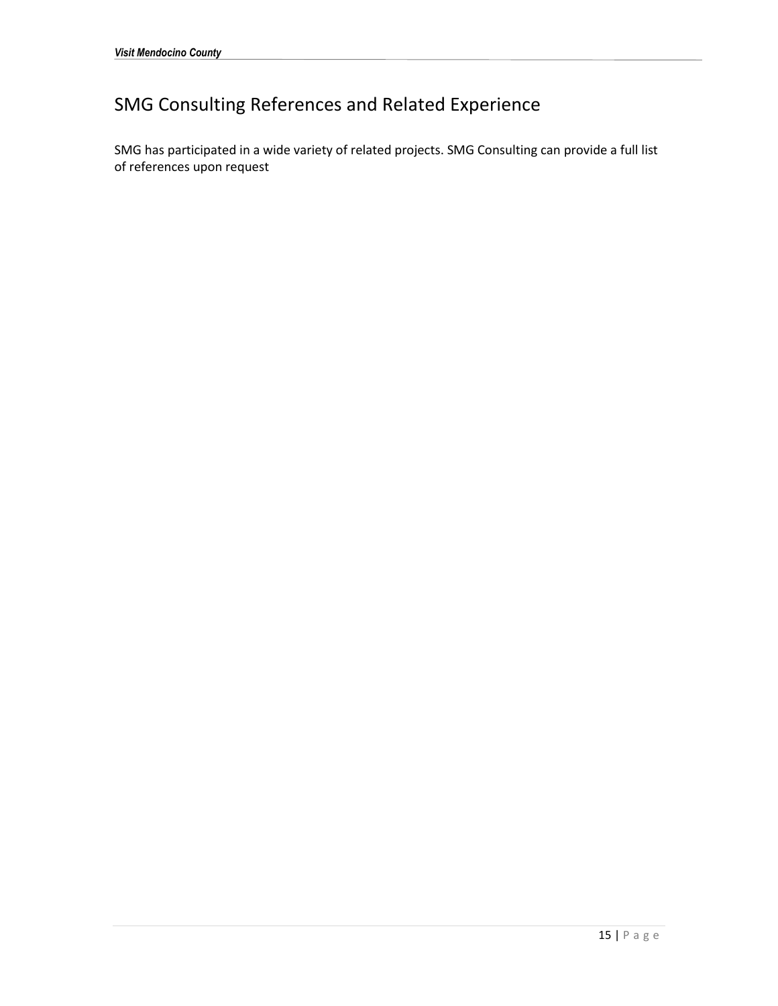### SMG Consulting References and Related Experience

SMG has participated in a wide variety of related projects. SMG Consulting can provide a full list of references upon request